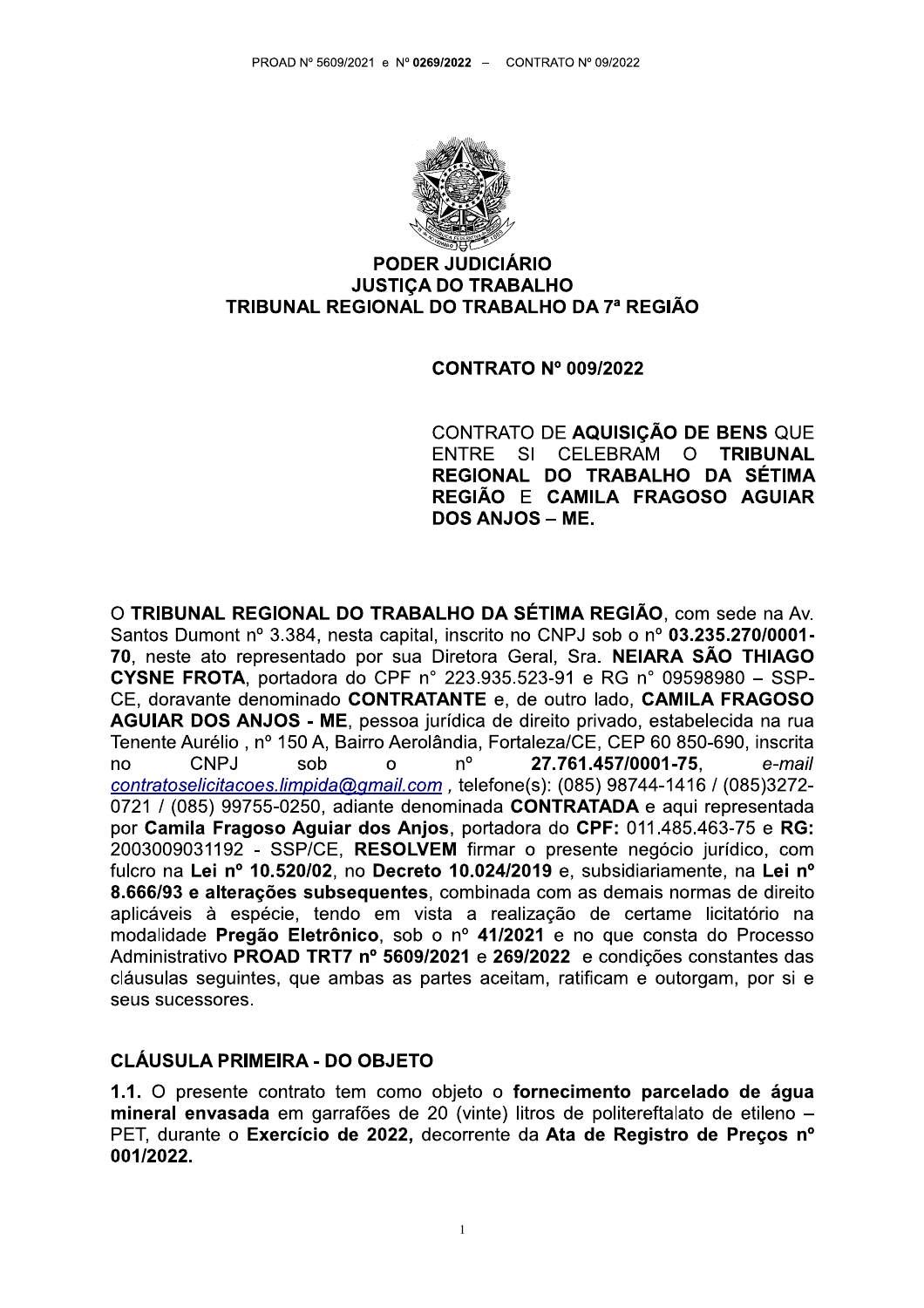

#### **PODER JUDICIÁRIO JUSTICA DO TRABALHO** TRIBUNAL REGIONAL DO TRABALHO DA 7ª REGIÃO

#### **CONTRATO Nº 009/2022**

CONTRATO DE AQUISIÇÃO DE BENS QUE SI CELEBRAM **ENTRE**  $\Omega$ **TRIBUNAL** REGIONAL DO TRABALHO DA SÉTIMA REGIÃO E CAMILA FRAGOSO AGUIAR **DOS ANJOS - ME.** 

O TRIBUNAL REGIONAL DO TRABALHO DA SÉTIMA REGIÃO, com sede na Av. Santos Dumont nº 3.384, nesta capital, inscrito no CNPJ sob o nº 03.235.270/0001-70, neste ato representado por sua Diretora Geral, Sra. NEIARA SÃO THIAGO **CYSNE FROTA**, portadora do CPF n° 223.935.523-91 e RG n° 09598980 - SSP-CE, doravante denominado CONTRATANTE e, de outro lado, CAMILA FRAGOSO AGUIAR DOS ANJOS - ME, pessoa jurídica de direito privado, estabelecida na rua Tenente Aurélio, nº 150 A, Bairro Aerolândia, Fortaleza/CE, CEP 60 850-690, inscrita CNPJ sob  $n^{\circ}$ 27.761.457/0001-75. e-mail no  $\Omega$ contratoselicitacoes.limpida@gmail.com, telefone(s): (085) 98744-1416 / (085)3272-0721 / (085) 99755-0250, adiante denominada CONTRATADA e aqui representada por Camila Fragoso Aguiar dos Anjos, portadora do CPF: 011.485.463-75 e RG: 2003009031192 - SSP/CE, RESOLVEM firmar o presente negócio jurídico, com fulcro na Lei nº 10.520/02, no Decreto 10.024/2019 e, subsidiariamente, na Lei nº 8.666/93 e alterações subsequentes, combinada com as demais normas de direito aplicáveis à espécie, tendo em vista a realização de certame licitatório na modalidade Pregão Eletrônico, sob o nº 41/2021 e no que consta do Processo Administrativo PROAD TRT7 nº 5609/2021 e 269/2022 e condições constantes das cláusulas sequintes, que ambas as partes aceitam, ratificam e outorgam, por si e seus sucessores.

#### **CLÁUSULA PRIMEIRA - DO OBJETO**

1.1. O presente contrato tem como objeto o fornecimento parcelado de água mineral envasada em garrafões de 20 (vinte) litros de politereftalato de etileno -PET, durante o Exercício de 2022, decorrente da Ata de Registro de Preços nº 001/2022.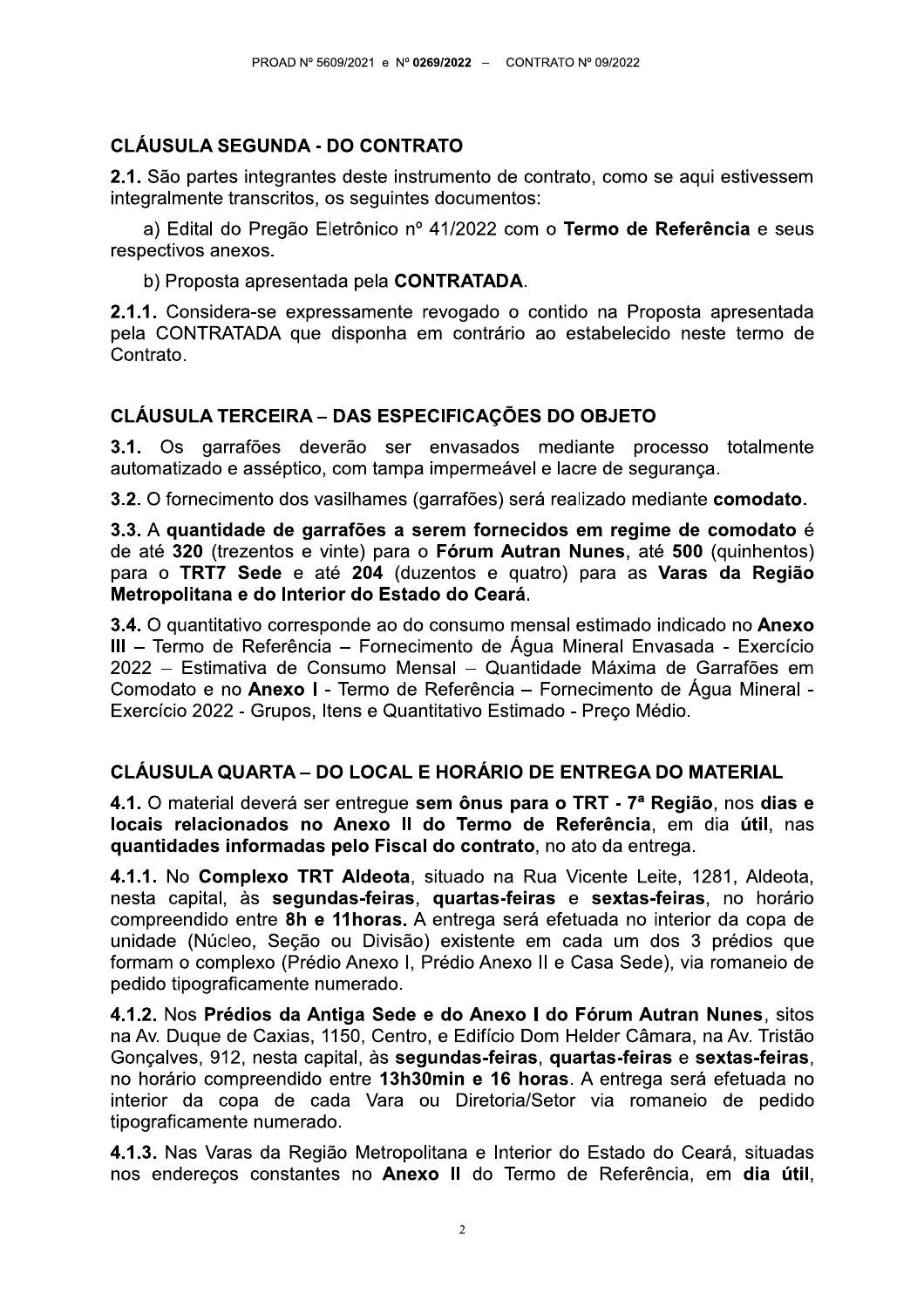# **CLÁUSULA SEGUNDA - DO CONTRATO**

2.1. São partes integrantes deste instrumento de contrato, como se aqui estivessem integralmente transcritos, os seguintes documentos:

a) Edital do Pregão Eletrônico nº 41/2022 com o Termo de Referência e seus respectivos anexos.

b) Proposta apresentada pela CONTRATADA.

2.1.1. Considera-se expressamente revogado o contido na Proposta apresentada pela CONTRATADA que disponha em contrário ao estabelecido neste termo de Contrato.

## **CLÁUSULA TERCEIRA – DAS ESPECIFICAÇÕES DO OBJETO**

3.1. Os garrafões deverão ser envasados mediante processo totalmente automatizado e asséptico, com tampa impermeável e lacre de segurança.

3.2. O fornecimento dos vasilhames (garrafões) será realizado mediante comodato.

3.3. A quantidade de garrafões a serem fornecidos em regime de comodato é de até 320 (trezentos e vinte) para o Fórum Autran Nunes, até 500 (quinhentos) para o TRT7 Sede e até 204 (duzentos e quatro) para as Varas da Região Metropolitana e do Interior do Estado do Ceará.

3.4. O quantitativo corresponde ao do consumo mensal estimado indicado no Anexo III - Termo de Referência - Fornecimento de Água Mineral Envasada - Exercício 2022 – Estimativa de Consumo Mensal – Quantidade Máxima de Garrafões em Comodato e no Anexo I - Termo de Referência – Fornecimento de Água Mineral -Exercício 2022 - Grupos, Itens e Quantitativo Estimado - Preco Médio.

# CLÁUSULA QUARTA – DO LOCAL E HORÁRIO DE ENTREGA DO MATERIAL

4.1. O material deverá ser entregue sem ônus para o TRT - 7ª Região, nos dias e locais relacionados no Anexo II do Termo de Referência, em dia útil, nas guantidades informadas pelo Fiscal do contrato, no ato da entrega.

4.1.1. No Complexo TRT Aldeota, situado na Rua Vicente Leite, 1281, Aldeota, nesta capital, às segundas-feiras, quartas-feiras e sextas-feiras, no horário compreendido entre 8h e 11 horas. A entrega será efetuada no interior da copa de unidade (Núcleo, Seção ou Divisão) existente em cada um dos 3 prédios que formam o complexo (Prédio Anexo I, Prédio Anexo II e Casa Sede), via romaneio de pedido tipograficamente numerado.

4.1.2. Nos Prédios da Antiga Sede e do Anexo I do Fórum Autran Nunes, sitos na Av. Duque de Caxias, 1150, Centro, e Edifício Dom Helder Câmara, na Av. Tristão Gonçalves, 912, nesta capital, às segundas-feiras, quartas-feiras e sextas-feiras, no horário compreendido entre 13h30min e 16 horas. A entrega será efetuada no interior da copa de cada Vara ou Diretoria/Setor via romaneio de pedido tipograficamente numerado.

4.1.3. Nas Varas da Região Metropolitana e Interior do Estado do Ceará, situadas nos endereços constantes no Anexo II do Termo de Referência, em dia útil,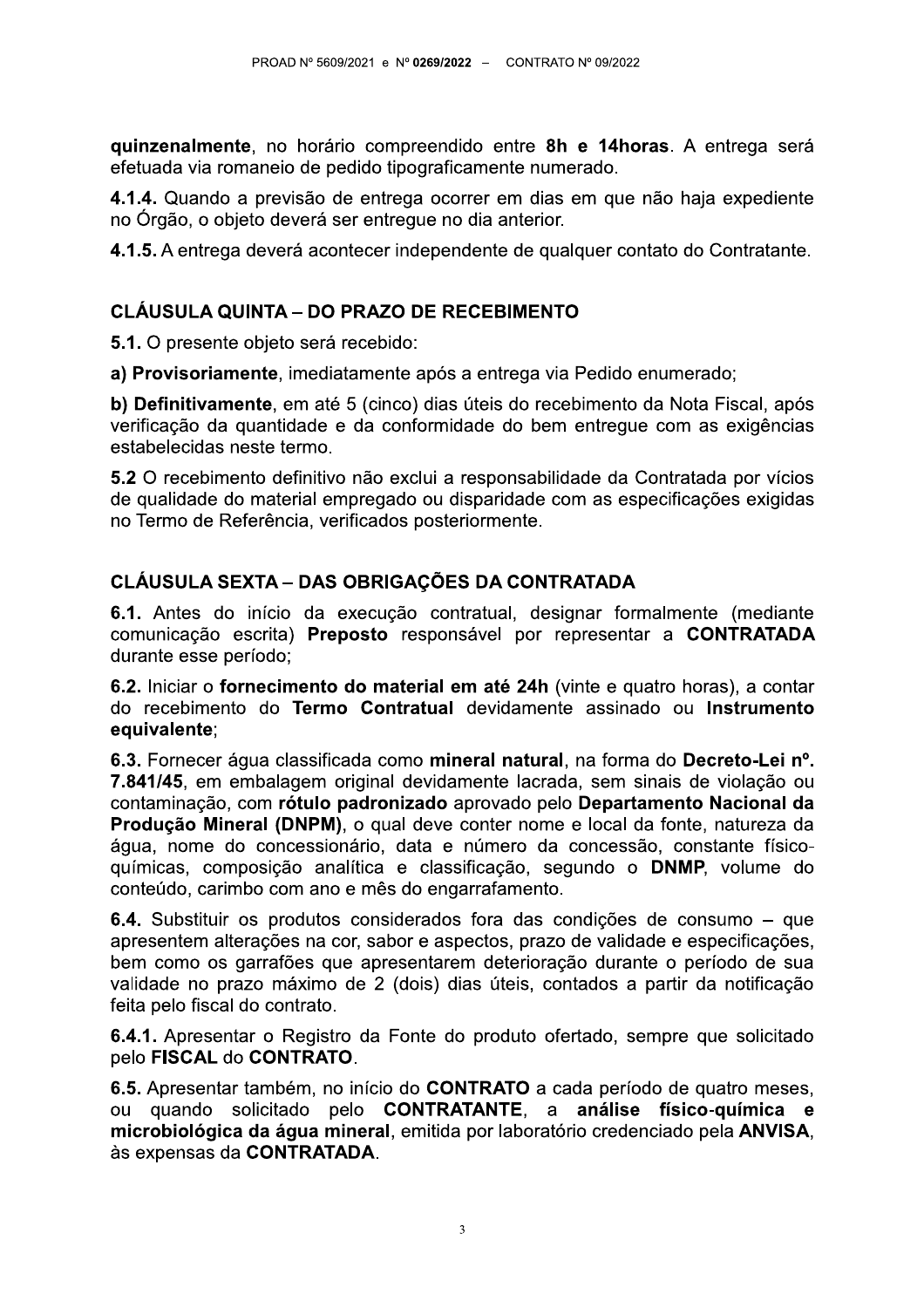quinzenalmente, no horário compreendido entre 8h e 14horas. A entrega será efetuada via romaneio de pedido tipograficamente numerado.

4.1.4. Quando a previsão de entrega ocorrer em dias em que não haja expediente no Órgão, o objeto deverá ser entregue no dia anterior.

4.1.5. A entrega deverá acontecer independente de qualquer contato do Contratante.

## **CLÁUSULA QUINTA – DO PRAZO DE RECEBIMENTO**

5.1. O presente objeto será recebido:

a) Provisoriamente, imediatamente após a entrega via Pedido enumerado;

b) Definitivamente, em até 5 (cinco) dias úteis do recebimento da Nota Fiscal, após verificação da quantidade e da conformidade do bem entregue com as exigências estabelecidas neste termo.

5.2 O recebimento definitivo não exclui a responsabilidade da Contratada por vícios de qualidade do material empregado ou disparidade com as especificações exigidas no Termo de Referência, verificados posteriormente.

## **CLÁUSULA SEXTA - DAS OBRIGAÇÕES DA CONTRATADA**

6.1. Antes do início da execução contratual, designar formalmente (mediante comunicação escrita) Preposto responsável por representar a CONTRATADA durante esse período:

6.2. Iniciar o fornecimento do material em até 24h (vinte e quatro horas), a contar do recebimento do Termo Contratual devidamente assinado ou Instrumento equivalente;

6.3. Fornecer áqua classificada como mineral natural, na forma do Decreto-Lei nº. 7.841/45, em embalagem original devidamente lacrada, sem sinais de violação ou contaminação, com rótulo padronizado aprovado pelo Departamento Nacional da Produção Mineral (DNPM), o qual deve conter nome e local da fonte, natureza da água, nome do concessionário, data e número da concessão, constante físicoquímicas, composição analítica e classificação, segundo o DNMP, volume do conteúdo, carimbo com ano e mês do engarrafamento.

6.4. Substituir os produtos considerados fora das condições de consumo – que apresentem alterações na cor, sabor e aspectos, prazo de validade e especificações, bem como os garrafões que apresentarem deterioração durante o período de sua validade no prazo máximo de 2 (dois) dias úteis, contados a partir da notificação feita pelo fiscal do contrato.

6.4.1. Apresentar o Registro da Fonte do produto ofertado, sempre que solicitado pelo FISCAL do CONTRATO.

6.5. Apresentar também, no início do CONTRATO a cada período de quatro meses, ou quando solicitado pelo CONTRATANTE, a análise físico-química e microbiológica da água mineral, emitida por laboratório credenciado pela ANVISA. às expensas da CONTRATADA.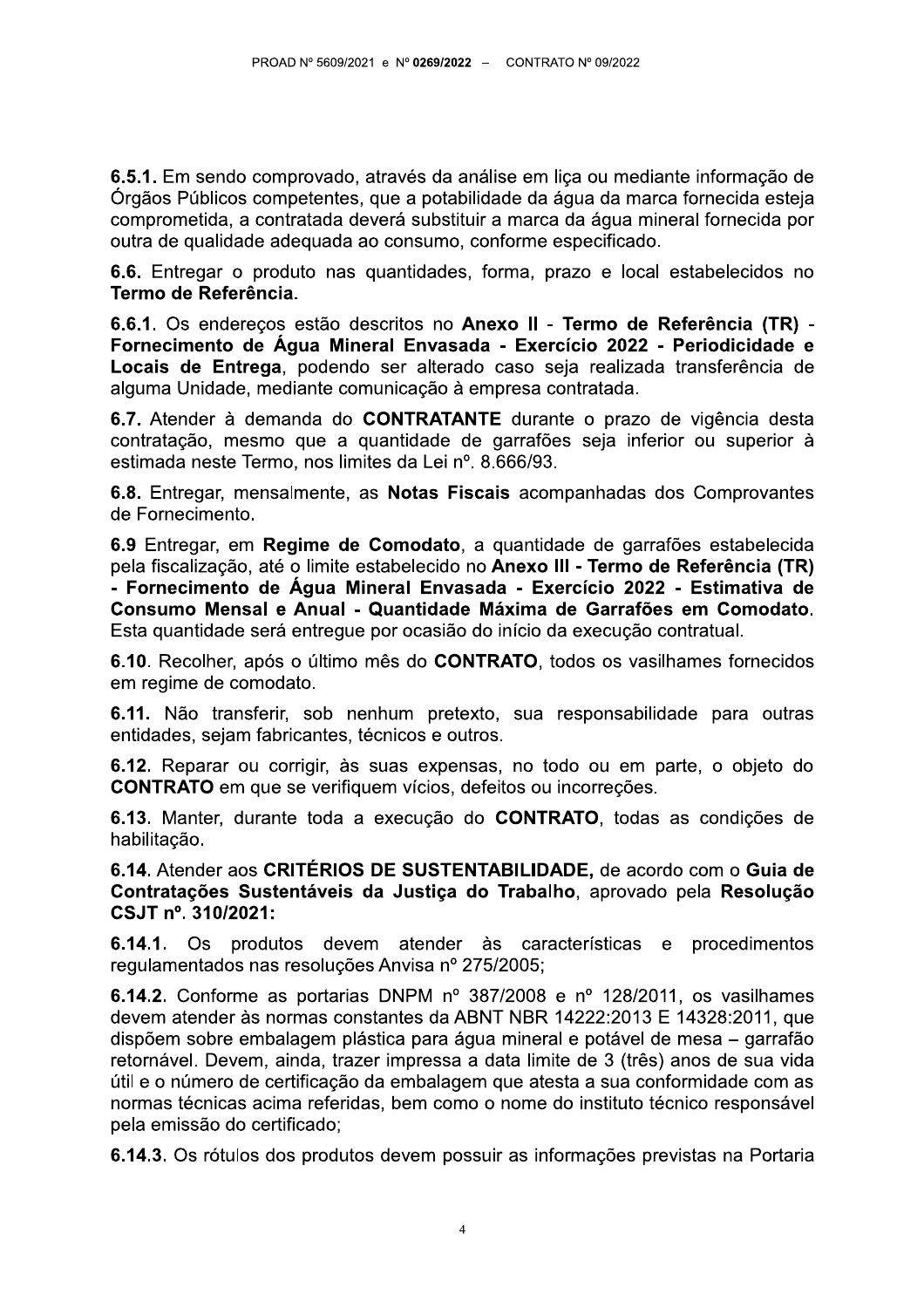6.5.1. Em sendo comprovado, através da análise em liça ou mediante informação de Órgãos Públicos competentes, que a potabilidade da água da marca fornecida esteja comprometida, a contratada deverá substituir a marca da água mineral fornecida por outra de qualidade adequada ao consumo, conforme especificado.

6.6. Entregar o produto nas quantidades, forma, prazo e local estabelecidos no Termo de Referência.

6.6.1. Os endereços estão descritos no Anexo II - Termo de Referência (TR) -Fornecimento de Água Mineral Envasada - Exercício 2022 - Periodicidade e Locais de Entrega, podendo ser alterado caso seja realizada transferência de alguma Unidade, mediante comunicação à empresa contratada.

6.7. Atender à demanda do CONTRATANTE durante o prazo de vigência desta contratação, mesmo que a quantidade de garrafões seja inferior ou superior à estimada neste Termo, nos limites da Lei nº. 8.666/93.

6.8. Entregar, mensalmente, as Notas Fiscais acompanhadas dos Comprovantes de Fornecimento.

6.9 Entregar, em Regime de Comodato, a quantidade de garrafões estabelecida pela fiscalização, até o limite estabelecido no Anexo III - Termo de Referência (TR) - Fornecimento de Água Mineral Envasada - Exercício 2022 - Estimativa de Consumo Mensal e Anual - Quantidade Máxima de Garrafões em Comodato. Esta quantidade será entregue por ocasião do início da execução contratual.

6.10. Recolher, após o último mês do CONTRATO, todos os vasilhames fornecidos em regime de comodato.

6.11. Não transferir, sob nenhum pretexto, sua responsabilidade para outras entidades, sejam fabricantes, técnicos e outros.

6.12. Reparar ou corrigir, às suas expensas, no todo ou em parte, o objeto do **CONTRATO** em que se verifiquem vícios, defeitos ou incorreções.

6.13. Manter, durante toda a execução do CONTRATO, todas as condições de habilitação.

6.14. Atender aos CRITÉRIOS DE SUSTENTABILIDADE, de acordo com o Guia de Contratações Sustentáveis da Justiça do Trabalho, aprovado pela Resolução CSJT nº. 310/2021:

6.14.1. Os produtos devem atender às características e procedimentos regulamentados nas resoluções Anvisa nº 275/2005;

6.14.2. Conforme as portarias DNPM nº 387/2008 e nº 128/2011, os vasilhames devem atender às normas constantes da ABNT NBR 14222:2013 E 14328:2011, que dispõem sobre embalagem plástica para água mineral e potável de mesa – garrafão retornável. Devem, ainda, trazer impressa a data limite de 3 (três) anos de sua vida útil e o número de certificação da embalagem que atesta a sua conformidade com as normas técnicas acima referidas, bem como o nome do instituto técnico responsável pela emissão do certificado;

6.14.3. Os rótulos dos produtos devem possuir as informações previstas na Portaria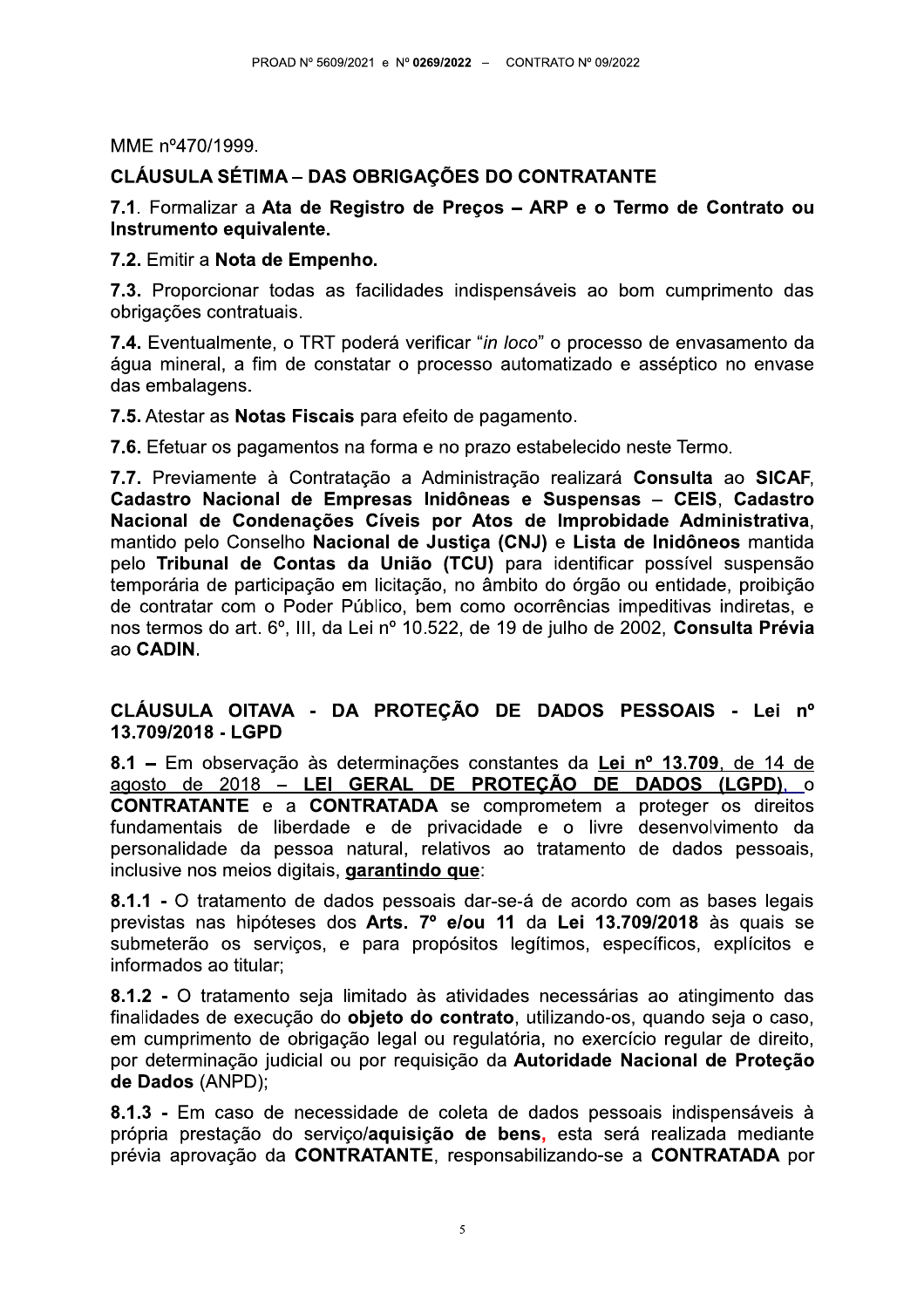MME nº470/1999.

## **CLÁUSULA SÉTIMA – DAS OBRIGAÇÕES DO CONTRATANTE**

7.1. Formalizar a Ata de Registro de Preços - ARP e o Termo de Contrato ou Instrumento equivalente.

7.2. Emitir a Nota de Empenho.

7.3. Proporcionar todas as facilidades indispensáveis ao bom cumprimento das obrigações contratuais.

7.4. Eventualmente, o TRT poderá verificar "in loco" o processo de envasamento da áqua mineral, a fim de constatar o processo automatizado e asséptico no envase das embalagens.

7.5. Atestar as Notas Fiscais para efeito de pagamento.

7.6. Efetuar os pagamentos na forma e no prazo estabelecido neste Termo.

7.7. Previamente à Contratação a Administração realizará Consulta ao SICAF, Cadastro Nacional de Empresas Inidôneas e Suspensas - CEIS, Cadastro Nacional de Condenações Cíveis por Atos de Improbidade Administrativa. mantido pelo Conselho Nacional de Justiça (CNJ) e Lista de Inidôneos mantida pelo Tribunal de Contas da União (TCU) para identificar possível suspensão temporária de participação em licitação, no âmbito do órgão ou entidade, proibição de contratar com o Poder Público, bem como ocorrências impeditivas indiretas, e nos termos do art. 6º, III, da Lei nº 10.522, de 19 de julho de 2002, Consulta Prévia ao CADIN.

#### CLÁUSULA OITAVA - DA PROTEÇÃO DE DADOS PESSOAIS - Lei nº 13.709/2018 - LGPD

8.1 – Em observação às determinações constantes da Lei nº 13.709, de 14 de agosto de 2018 - LEI GERAL DE PROTEÇÃO DE DADOS (LGPD), o **CONTRATANTE** e a **CONTRATADA** se comprometem a proteger os direitos fundamentais de liberdade e de privacidade e o livre desenvolvimento da personalidade da pessoa natural, relativos ao tratamento de dados pessoais, inclusive nos meios digitais, garantindo que:

8.1.1 - O tratamento de dados pessoais dar-se-á de acordo com as bases legais previstas nas hipóteses dos Arts. 7º e/ou 11 da Lei 13.709/2018 às quais se submeterão os servicos, e para propósitos legítimos, específicos, explícitos e informados ao titular:

8.1.2 - O tratamento seja limitado às atividades necessárias ao atingimento das finalidades de execução do objeto do contrato, utilizando-os, quando seja o caso, em cumprimento de obrigação legal ou regulatória, no exercício regular de direito, por determinação judicial ou por requisição da Autoridade Nacional de Proteção de Dados (ANPD);

8.1.3 - Em caso de necessidade de coleta de dados pessoais indispensáveis à própria prestação do serviço/aquisição de bens, esta será realizada mediante prévia aprovação da CONTRATANTE, responsabilizando-se a CONTRATADA por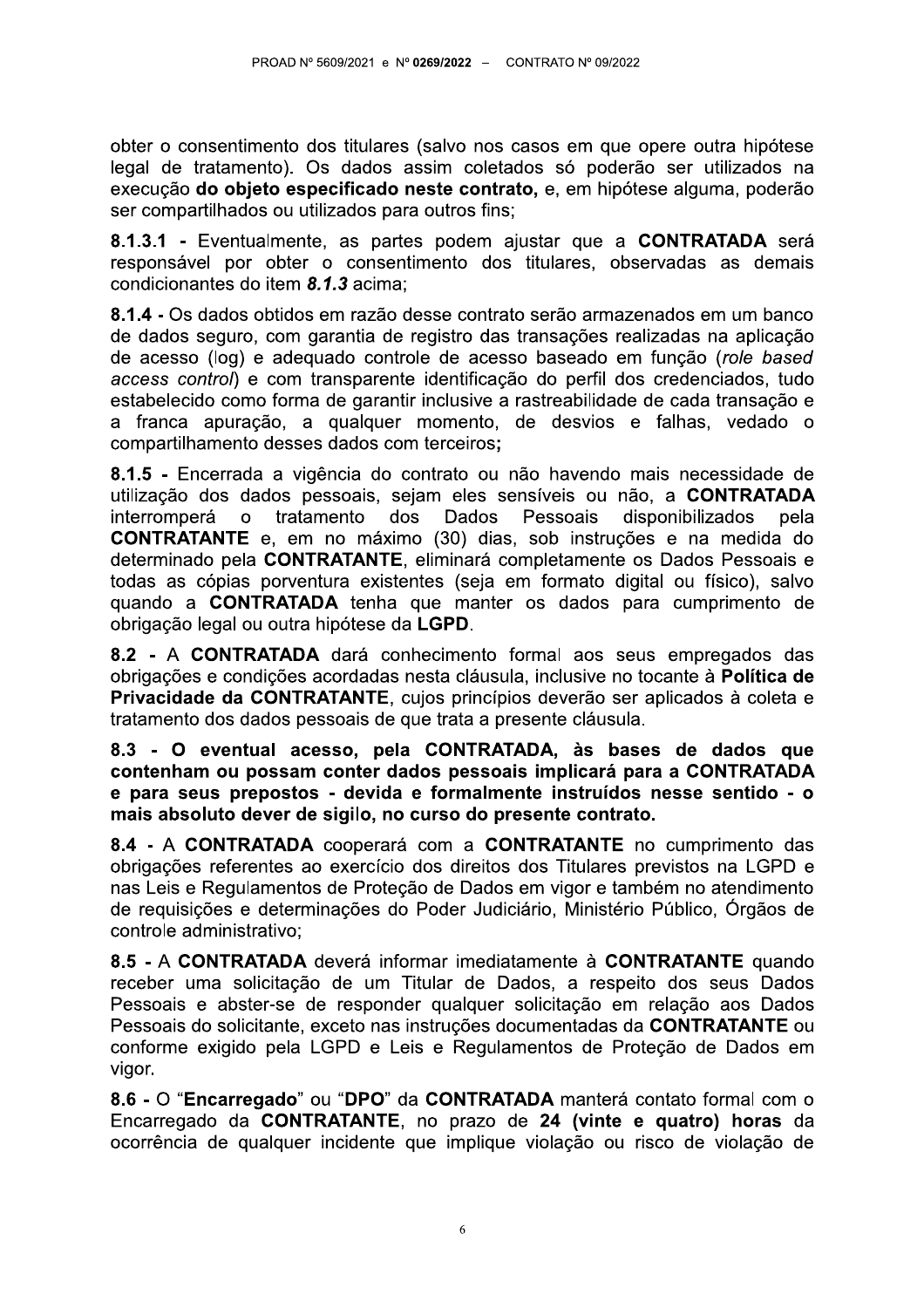obter o consentimento dos titulares (salvo nos casos em que opere outra hipótese legal de tratamento). Os dados assim coletados só poderão ser utilizados na execução do objeto especificado neste contrato, e, em hipótese alguma, poderão ser compartilhados ou utilizados para outros fins;

8.1.3.1 - Eventualmente, as partes podem ajustar que a CONTRATADA será responsável por obter o consentimento dos titulares, observadas as demais condicionantes do item 8.1.3 acima:

8.1.4 - Os dados obtidos em razão desse contrato serão armazenados em um banco de dados seguro, com garantia de registro das transações realizadas na aplicação de acesso (log) e adequado controle de acesso baseado em função (role based access control) e com transparente identificação do perfil dos credenciados, tudo estabelecido como forma de garantir inclusive a rastreabilidade de cada transação e a franca apuração, a qualquer momento, de desvios e falhas, vedado o compartilhamento desses dados com terceiros;

8.1.5 - Encerrada a vigência do contrato ou não havendo mais necessidade de utilização dos dados pessoais, sejam eles sensíveis ou não, a CONTRATADA interromperá  $\mathbf{o}$ tratamento dos Dados Pessoais disponibilizados pela **CONTRATANTE** e, em no máximo (30) dias, sob instruções e na medida do determinado pela CONTRATANTE, eliminará completamente os Dados Pessoais e todas as cópias porventura existentes (seja em formato digital ou físico), salvo quando a CONTRATADA tenha que manter os dados para cumprimento de obrigação legal ou outra hipótese da LGPD.

8.2 - A CONTRATADA dará conhecimento formal aos seus empregados das obrigações e condições acordadas nesta cláusula, inclusive no tocante à Política de Privacidade da CONTRATANTE, cujos princípios deverão ser aplicados à coleta e tratamento dos dados pessoais de que trata a presente cláusula.

8.3 - O eventual acesso, pela CONTRATADA, às bases de dados que contenham ou possam conter dados pessoais implicará para a CONTRATADA e para seus prepostos - devida e formalmente instruídos nesse sentido - o mais absoluto dever de sigilo, no curso do presente contrato.

8.4 - A CONTRATADA cooperará com a CONTRATANTE no cumprimento das obrigações referentes ao exercício dos direitos dos Titulares previstos na LGPD e nas Leis e Regulamentos de Proteção de Dados em vigor e também no atendimento de requisições e determinações do Poder Judiciário, Ministério Público, Órgãos de controle administrativo;

8.5 - A CONTRATADA deverá informar imediatamente à CONTRATANTE quando receber uma solicitação de um Titular de Dados, a respeito dos seus Dados Pessoais e abster-se de responder qualquer solicitação em relação aos Dados Pessoais do solicitante, exceto nas instruções documentadas da CONTRATANTE ou conforme exigido pela LGPD e Leis e Regulamentos de Proteção de Dados em vigor.

8.6 - O "Encarregado" ou "DPO" da CONTRATADA manterá contato formal com o Encarregado da CONTRATANTE, no prazo de 24 (vinte e quatro) horas da ocorrência de qualquer incidente que implique violação ou risco de violação de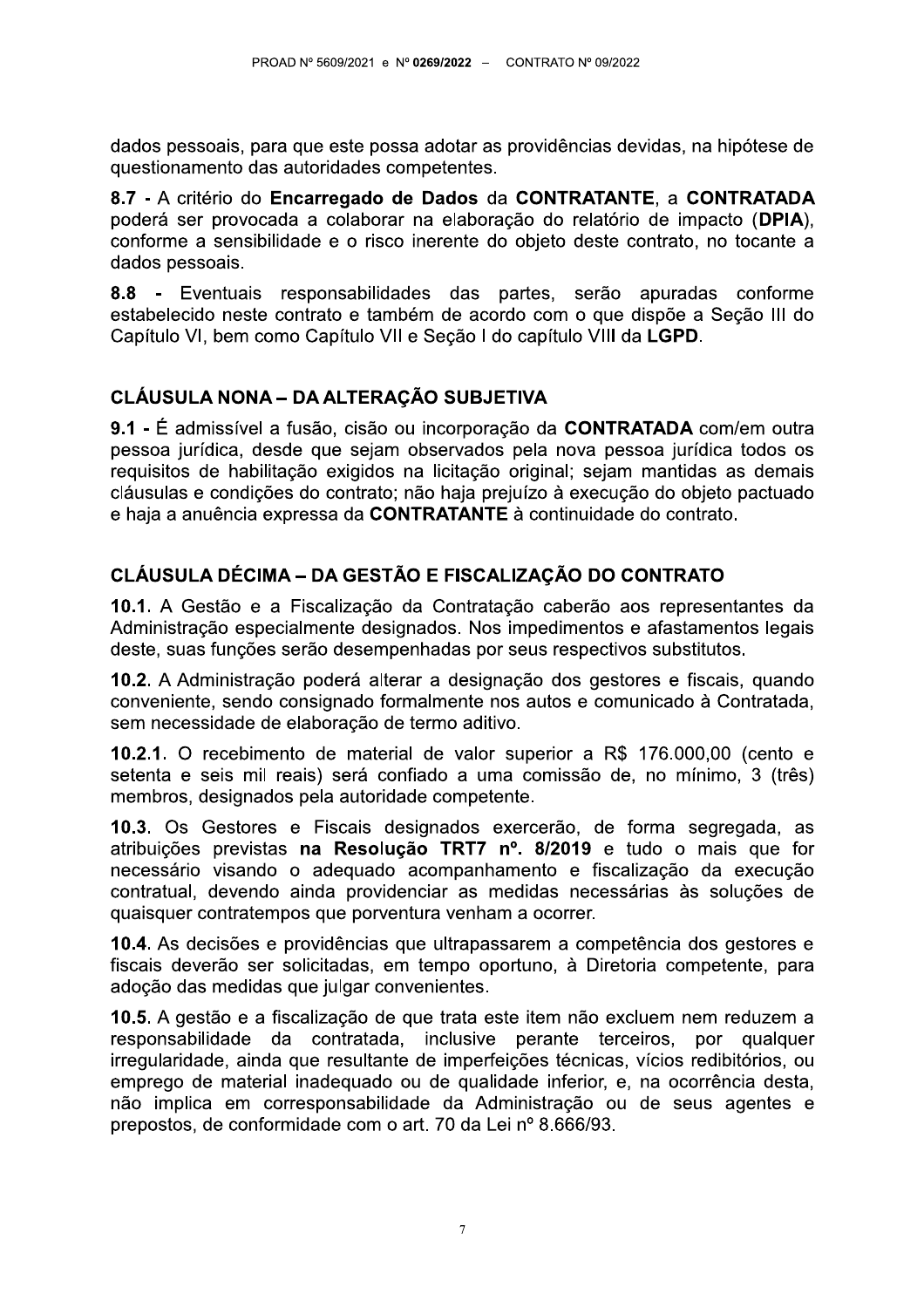dados pessoais, para que este possa adotar as providências devidas, na hipótese de questionamento das autoridades competentes.

8.7 - A critério do Encarregado de Dados da CONTRATANTE, a CONTRATADA poderá ser provocada a colaborar na elaboração do relatório de impacto (DPIA), conforme a sensibilidade e o risco inerente do objeto deste contrato, no tocante a dados pessoais.

8.8 - Eventuais responsabilidades das partes, serão apuradas conforme estabelecido neste contrato e também de acordo com o que dispõe a Seção III do Capítulo VI, bem como Capítulo VII e Seção I do capítulo VIII da LGPD.

## CLÁUSULA NONA - DA ALTERAÇÃO SUBJETIVA

9.1 - É admissível a fusão, cisão ou incorporação da CONTRATADA com/em outra pessoa jurídica, desde que sejam observados pela nova pessoa jurídica todos os requisitos de habilitação exigidos na licitação original; sejam mantidas as demais cláusulas e condições do contrato: não haja prejuízo à execução do objeto pactuado e haja a anuência expressa da CONTRATANTE à continuidade do contrato.

# CLÁUSULA DÉCIMA - DA GESTÃO E FISCALIZAÇÃO DO CONTRATO

10.1. A Gestão e a Fiscalização da Contratação caberão aos representantes da Administração especialmente designados. Nos impedimentos e afastamentos legais deste, suas funções serão desempenhadas por seus respectivos substitutos.

10.2. A Administração poderá alterar a designação dos gestores e fiscais, quando conveniente, sendo consignado formalmente nos autos e comunicado à Contratada, sem necessidade de elaboração de termo aditivo.

**10.2.1.** O recebimento de material de valor superior a R\$ 176.000.00 (cento e setenta e seis mil reais) será confiado a uma comissão de, no mínimo. 3 (três) membros, designados pela autoridade competente.

10.3. Os Gestores e Fiscais designados exercerão, de forma segregada, as atribuições previstas na Resolução TRT7 nº. 8/2019 e tudo o mais que for necessário visando o adequado acompanhamento e fiscalização da execução contratual, devendo ainda providenciar as medidas necessárias às solucões de quaisquer contratempos que porventura venham a ocorrer.

10.4. As decisões e providências que ultrapassarem a competência dos gestores e fiscais deverão ser solicitadas, em tempo oportuno, à Diretoria competente, para adoção das medidas que julgar convenientes.

10.5. A gestão e a fiscalização de que trata este item não excluem nem reduzem a responsabilidade da contratada, inclusive perante terceiros, por qualquer irregularidade, ainda que resultante de imperfeições técnicas, vícios redibitórios, ou emprego de material inadeguado ou de qualidade inferior, e, na ocorrência desta, não implica em corresponsabilidade da Administração ou de seus agentes e prepostos, de conformidade com o art. 70 da Lei nº 8.666/93.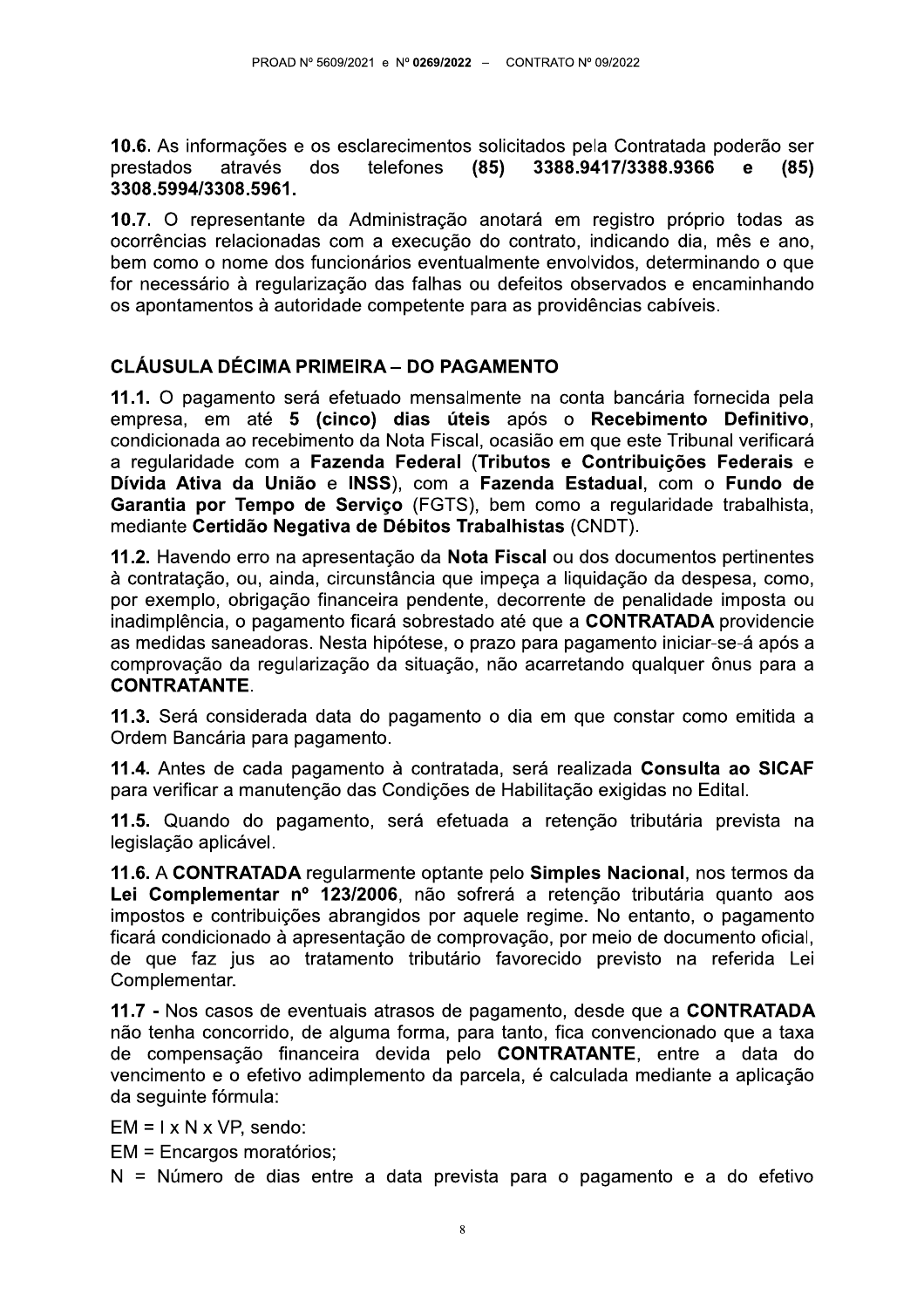10.6. As informações e os esclarecimentos solicitados pela Contratada poderão ser dos telefones  $(85)$ 3388.9417/3388.9366 prestados através  $(85)$  $\mathbf{e}$ 3308.5994/3308.5961.

10.7. O representante da Administração anotará em registro próprio todas as ocorrências relacionadas com a execução do contrato, indicando dia, mês e ano, bem como o nome dos funcionários eventualmente envolvidos, determinando o que for necessário à regularização das falhas ou defeitos observados e encaminhando os apontamentos à autoridade competente para as providências cabíveis.

## **CLÁUSULA DÉCIMA PRIMEIRA – DO PAGAMENTO**

11.1. O pagamento será efetuado mensalmente na conta bancária fornecida pela empresa, em até 5 (cinco) dias úteis após o Recebimento Definitivo, condicionada ao recebimento da Nota Fiscal, ocasião em que este Tribunal verificará a regularidade com a Fazenda Federal (Tributos e Contribuições Federais e Dívida Ativa da União e INSS), com a Fazenda Estadual, com o Fundo de Garantia por Tempo de Servico (FGTS), bem como a regularidade trabalhista. mediante Certidão Negativa de Débitos Trabalhistas (CNDT).

11.2. Havendo erro na apresentação da Nota Fiscal ou dos documentos pertinentes à contratação, ou, ainda, circunstância que impeça a liquidação da despesa, como, por exemplo, obrigação financeira pendente, decorrente de penalidade imposta ou inadimplência, o pagamento ficará sobrestado até que a CONTRATADA providencie as medidas saneadoras. Nesta hipótese, o prazo para pagamento iniciar-se-á após a comprovação da regularização da situação, não acarretando qualquer ônus para a **CONTRATANTE.** 

11.3. Será considerada data do pagamento o dia em que constar como emitida a Ordem Bancária para pagamento.

11.4. Antes de cada pagamento à contratada, será realizada Consulta ao SICAF para verificar a manutenção das Condições de Habilitação exigidas no Edital.

11.5. Quando do pagamento, será efetuada a retenção tributária prevista na legislacão aplicável.

11.6. A CONTRATADA regularmente optante pelo Simples Nacional, nos termos da Lei Complementar nº 123/2006, não sofrerá a retenção tributária quanto aos impostos e contribuições abrangidos por aquele regime. No entanto, o pagamento ficará condicionado à apresentação de comprovação, por meio de documento oficial, de que faz jus ao tratamento tributário favorecido previsto na referida Lei Complementar.

11.7 - Nos casos de eventuais atrasos de pagamento, desde que a CONTRATADA não tenha concorrido, de alguma forma, para tanto, fica convencionado que a taxa de compensação financeira devida pelo CONTRATANTE, entre a data do vencimento e o efetivo adimplemento da parcela, é calculada mediante a aplicação da sequinte fórmula:

 $EM = I \times N \times VP$ , sendo:

EM = Encargos moratórios:

N = Número de dias entre a data prevista para o pagamento e a do efetivo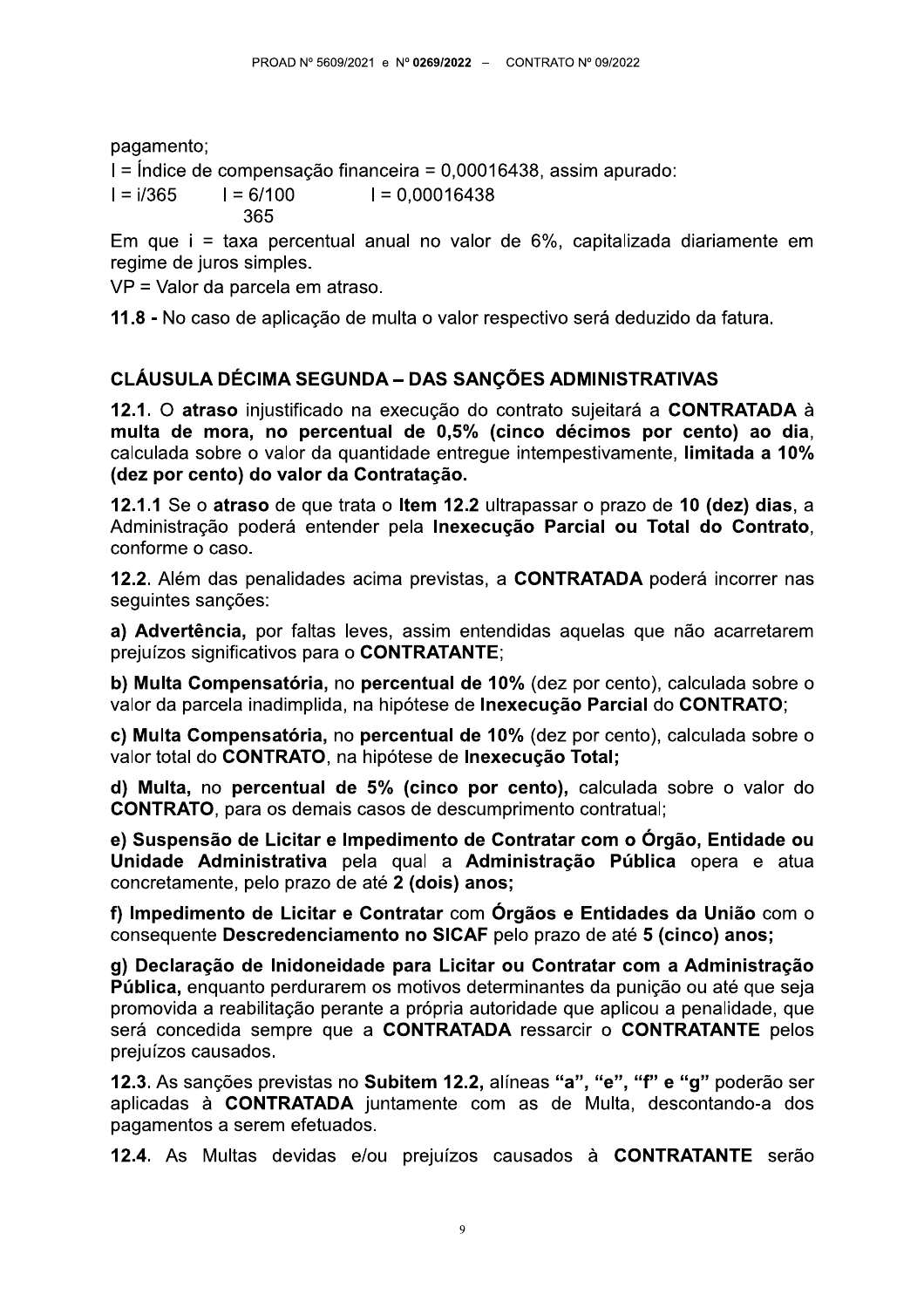pagamento;

I = Índice de compensação financeira = 0,00016438, assim apurado:

 $I = i/365$  $I = 6/100$  $I = 0.00016438$ 365

Em que i = taxa percentual anual no valor de  $6\%$ , capitalizada diariamente em regime de juros simples.

VP = Valor da parcela em atraso.

11.8 - No caso de aplicação de multa o valor respectivo será deduzido da fatura.

# CLÁUSULA DÉCIMA SEGUNDA - DAS SANÇÕES ADMINISTRATIVAS

12.1. O atraso injustificado na execução do contrato sujeitará a CONTRATADA à multa de mora, no percentual de 0,5% (cinco décimos por cento) ao dia, calculada sobre o valor da quantidade entreque intempestivamente. limitada a 10% (dez por cento) do valor da Contratação.

12.1.1 Se o atraso de que trata o Item 12.2 ultrapassar o prazo de 10 (dez) dias, a Administração poderá entender pela Inexecução Parcial ou Total do Contrato. conforme o caso.

12.2. Além das penalidades acima previstas, a CONTRATADA poderá incorrer nas seguintes sanções:

a) Advertência, por faltas leves, assim entendidas aquelas que não acarretarem prejuízos significativos para o CONTRATANTE;

b) Multa Compensatória, no percentual de 10% (dez por cento), calculada sobre o valor da parcela inadimplida, na hipótese de Inexecução Parcial do CONTRATO;

c) Multa Compensatória, no percentual de 10% (dez por cento), calculada sobre o valor total do CONTRATO, na hipótese de Inexecução Total;

d) Multa, no percentual de 5% (cinco por cento), calculada sobre o valor do **CONTRATO**, para os demais casos de descumprimento contratual;

e) Suspensão de Licitar e Impedimento de Contratar com o Órgão, Entidade ou Unidade Administrativa pela qual a Administração Pública opera e atua concretamente, pelo prazo de até 2 (dois) anos;

f) Impedimento de Licitar e Contratar com Órgãos e Entidades da União com o consequente Descredenciamento no SICAF pelo prazo de até 5 (cinco) anos;

g) Declaração de Inidoneidade para Licitar ou Contratar com a Administração Pública, enquanto perdurarem os motivos determinantes da punição ou até que seja promovida a reabilitação perante a própria autoridade que aplicou a penalidade, que será concedida sempre que a CONTRATADA ressarcir o CONTRATANTE pelos prejuízos causados.

12.3. As sanções previstas no Subitem 12.2, alíneas "a", "e", "f" e "g" poderão ser aplicadas à CONTRATADA juntamente com as de Multa, descontando-a dos pagamentos a serem efetuados.

12.4. As Multas devidas e/ou prejuízos causados à CONTRATANTE serão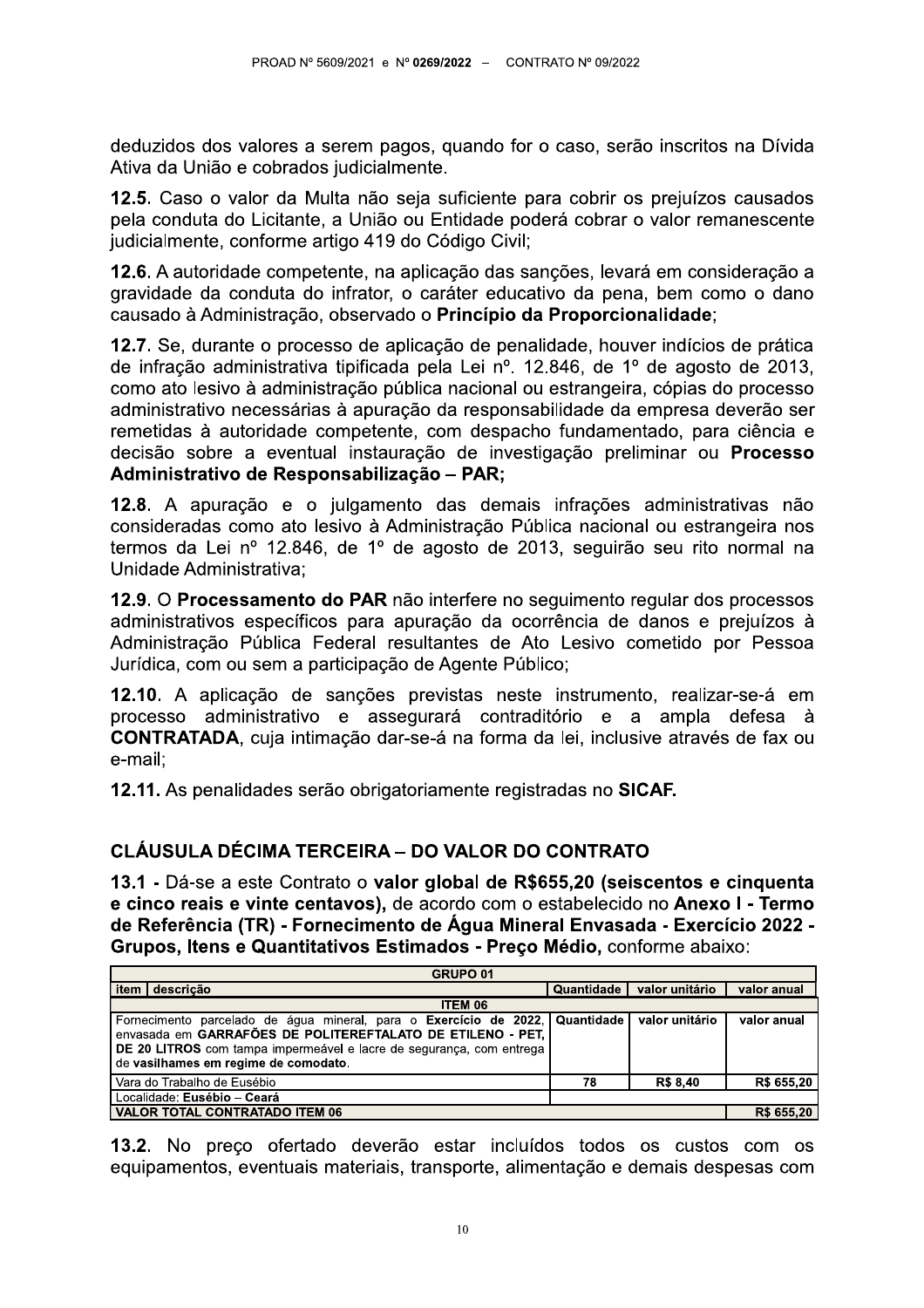deduzidos dos valores a serem pagos, quando for o caso, serão inscritos na Dívida Ativa da União e cobrados judicialmente.

12.5. Caso o valor da Multa não seja suficiente para cobrir os prejuízos causados pela conduta do Licitante, a União ou Entidade poderá cobrar o valor remanescente judicialmente, conforme artigo 419 do Código Civil;

12.6. A autoridade competente, na aplicação das sanções, levará em consideração a gravidade da conduta do infrator, o caráter educativo da pena, bem como o dano causado à Administração, observado o Princípio da Proporcionalidade;

12.7. Se, durante o processo de aplicação de penalidade, houver indícios de prática de infração administrativa tipificada pela Lei nº. 12.846, de 1º de agosto de 2013, como ato lesivo à administração pública nacional ou estrangeira, cópias do processo administrativo necessárias à apuração da responsabilidade da empresa deverão ser remetidas à autoridade competente, com despacho fundamentado, para ciência e decisão sobre a eventual instauração de investigação preliminar ou Processo Administrativo de Responsabilização - PAR;

12.8. A apuração e o julgamento das demais infrações administrativas não consideradas como ato lesivo à Administração Pública nacional ou estrangeira nos termos da Lei nº 12.846, de 1º de agosto de 2013, seguirão seu rito normal na Unidade Administrativa;

12.9. O Processamento do PAR não interfere no seguimento regular dos processos administrativos específicos para apuração da ocorrência de danos e prejuízos à Administração Pública Federal resultantes de Ato Lesivo cometido por Pessoa Jurídica, com ou sem a participação de Agente Público;

12.10. A aplicação de sanções previstas neste instrumento, realizar-se-á em processo administrativo e assegurará contraditório e a ampla defesa à **CONTRATADA**, cuja intimação dar-se-á na forma da lei, inclusive através de fax ou e-mail:

12.11. As penalidades serão obrigatoriamente registradas no SICAF.

## CLÁUSULA DÉCIMA TERCEIRA – DO VALOR DO CONTRATO

13.1 - Dá-se a este Contrato o valor global de R\$655,20 (seiscentos e cinquenta e cinco reais e vinte centavos), de acordo com o estabelecido no Anexo I - Termo de Referência (TR) - Fornecimento de Água Mineral Envasada - Exercício 2022 -Grupos. Itens e Quantitativos Estimados - Preco Médio, conforme abaixo:

| GRUPO <sub>01</sub>                                                                                                                                                                                                                                                       |            |                 |             |
|---------------------------------------------------------------------------------------------------------------------------------------------------------------------------------------------------------------------------------------------------------------------------|------------|-----------------|-------------|
| item<br>descrição                                                                                                                                                                                                                                                         | Quantidade | valor unitário  | valor anual |
| ITEM 06                                                                                                                                                                                                                                                                   |            |                 |             |
| Fornecimento parcelado de água mineral, para o Exercício de 2022, Quantidade valor unitário<br>envasada em GARRAFÕES DE POLITEREFTALATO DE ETILENO - PET,<br>DE 20 LITROS com tampa impermeável e lacre de segurança, com entrega<br>de vasilhames em regime de comodato. |            |                 | valor anual |
| Vara do Trabalho de Eusébio                                                                                                                                                                                                                                               | 78         | <b>R\$ 8,40</b> | R\$ 655,20  |
| Localidade: Eusébio - Ceará                                                                                                                                                                                                                                               |            |                 |             |
| VALOR TOTAL CONTRATADO ITEM 06                                                                                                                                                                                                                                            |            |                 | R\$ 655,20  |

13.2. No preco ofertado deverão estar incluídos todos os custos com os equipamentos, eventuais materiais, transporte, alimentação e demais despesas com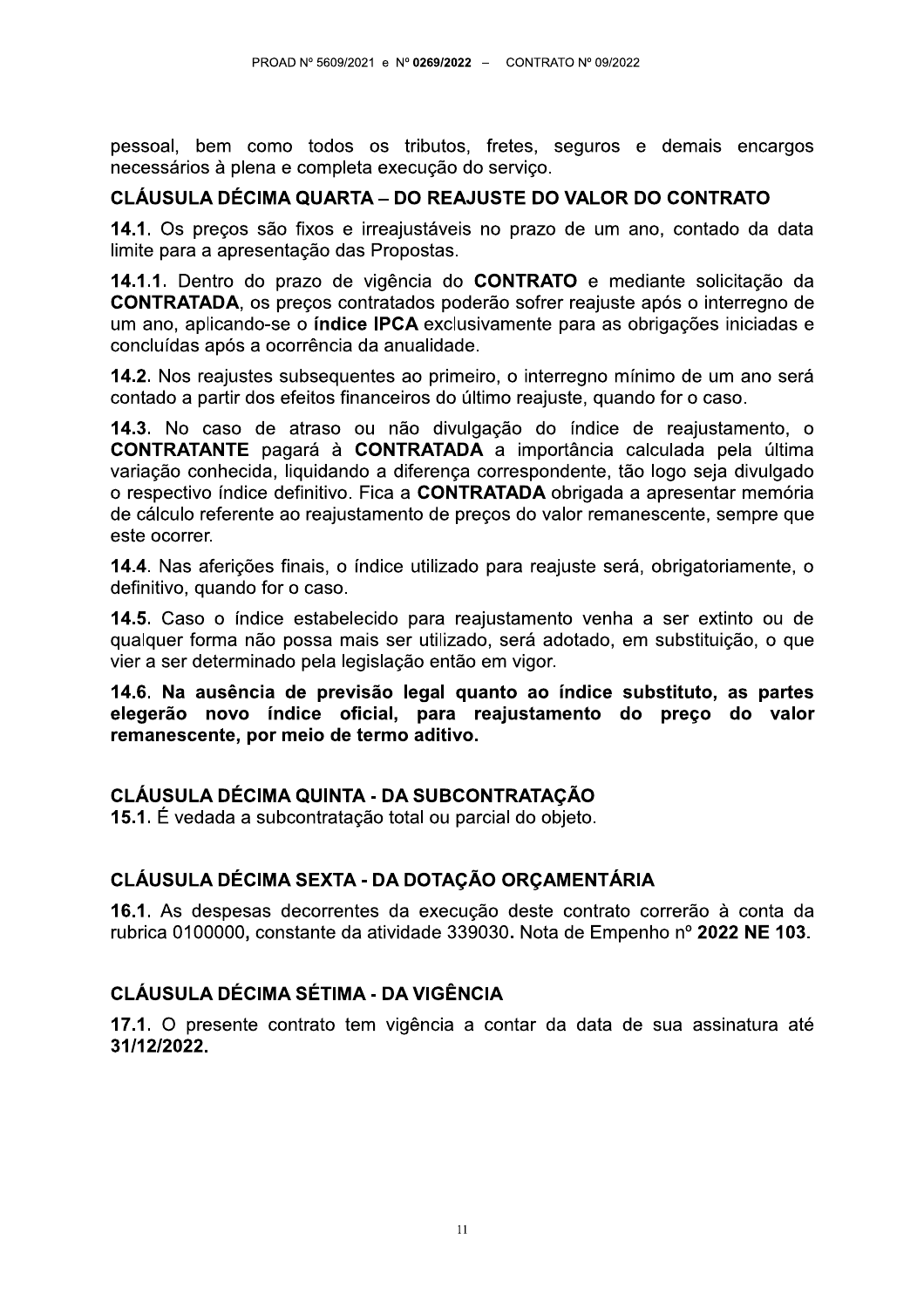pessoal, bem como todos os tributos, fretes, seguros e demais encargos necessários à plena e completa execução do serviço.

#### CLÁUSULA DÉCIMA QUARTA – DO REAJUSTE DO VALOR DO CONTRATO

14.1. Os preços são fixos e irreajustáveis no prazo de um ano, contado da data limite para a apresentação das Propostas.

14.1.1. Dentro do prazo de vigência do CONTRATO e mediante solicitação da **CONTRATADA**, os preços contratados poderão sofrer reajuste após o interregno de um ano, aplicando-se o **índice IPCA** exclusivamente para as obrigações iniciadas e concluídas após a ocorrência da anualidade.

14.2. Nos reajustes subsequentes ao primeiro, o interregno mínimo de um ano será contado a partir dos efeitos financeiros do último reajuste, quando for o caso.

14.3. No caso de atraso ou não divulgação do índice de reajustamento, o **CONTRATANTE** pagará à **CONTRATADA** a importância calculada pela última variação conhecida. liquidando a diferenca correspondente, tão logo seja divulgado o respectivo índice definitivo. Fica a CONTRATADA obrigada a apresentar memória de cálculo referente ao reajustamento de preços do valor remanescente, sempre que este ocorrer.

14.4. Nas aferições finais, o índice utilizado para reajuste será, obrigatoriamente, o definitivo, quando for o caso.

14.5. Caso o índice estabelecido para reajustamento venha a ser extinto ou de qualquer forma não possa mais ser utilizado, será adotado, em substituição, o que vier a ser determinado pela legislação então em vigor.

14.6. Na ausência de previsão legal quanto ao índice substituto, as partes elegerão novo índice oficial, para reajustamento do preço do valor remanescente, por meio de termo aditivo.

## CLÁUSULA DÉCIMA QUINTA - DA SUBCONTRATACÃO

15.1. É vedada a subcontratação total ou parcial do objeto.

## CLÁUSULA DÉCIMA SEXTA - DA DOTAÇÃO ORCAMENTÁRIA

16.1. As despesas decorrentes da execução deste contrato correrão à conta da rubrica 0100000, constante da atividade 339030. Nota de Empenho nº 2022 NE 103.

## **CLÁUSULA DÉCIMA SÉTIMA - DA VIGÊNCIA**

17.1. O presente contrato tem vigência a contar da data de sua assinatura até 31/12/2022.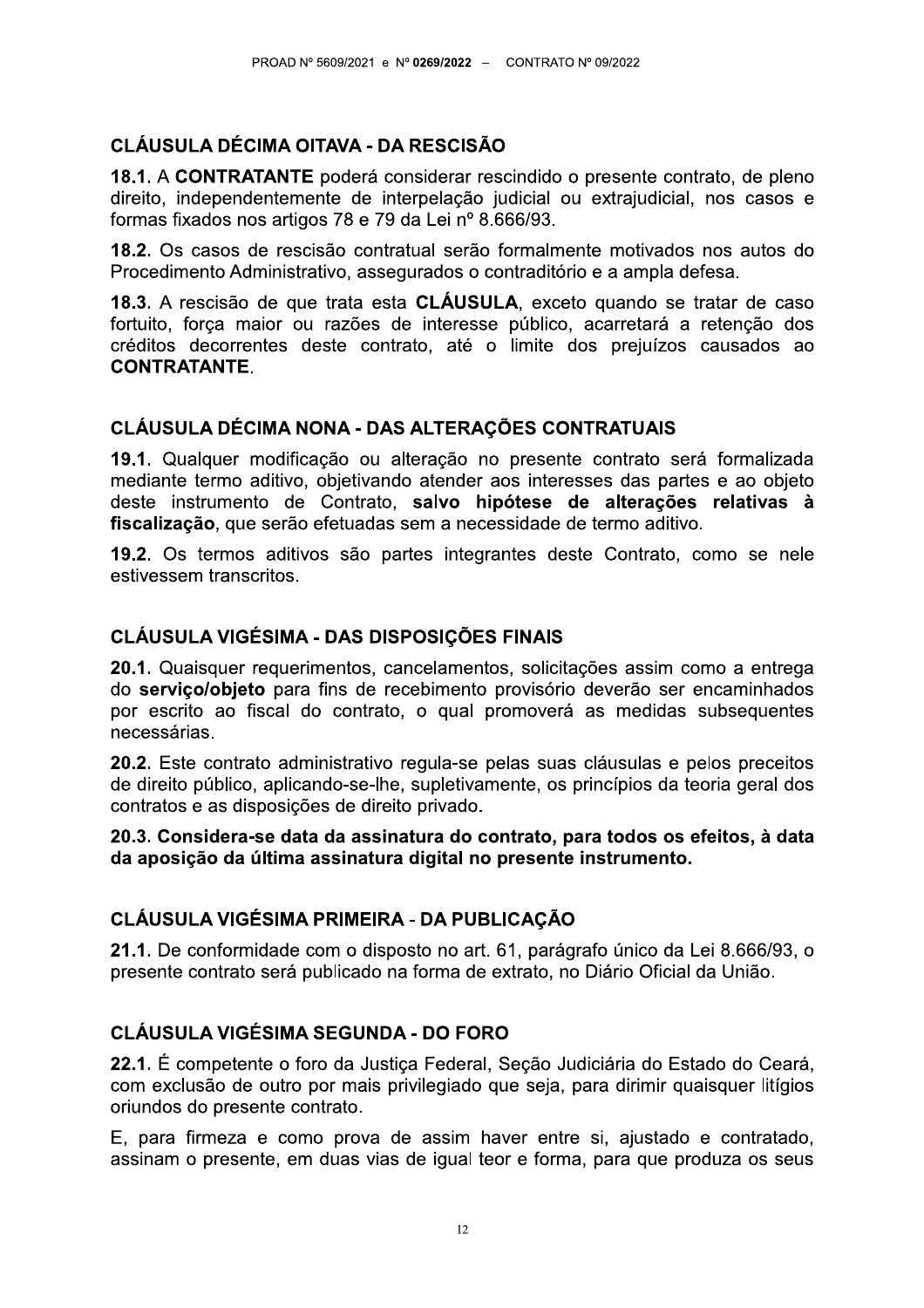# **CLÁUSULA DÉCIMA OITAVA - DA RESCISÃO**

18.1. A CONTRATANTE poderá considerar rescindido o presente contrato, de pleno direito, independentemente de interpelação judicial ou extrajudicial, nos casos e formas fixados nos artigos 78 e 79 da Lei nº 8.666/93.

18.2. Os casos de rescisão contratual serão formalmente motivados nos autos do Procedimento Administrativo, assegurados o contraditório e a ampla defesa.

18.3. A rescisão de que trata esta CLÁUSULA, exceto quando se tratar de caso fortuito, força maior ou razões de interesse público, acarretará a retenção dos créditos decorrentes deste contrato, até o limite dos prejuízos causados ao **CONTRATANTE.** 

## CLÁUSULA DÉCIMA NONA - DAS ALTERAÇÕES CONTRATUAIS

19.1. Qualquer modificação ou alteração no presente contrato será formalizada mediante termo aditivo, objetivando atender aos interesses das partes e ao objeto deste instrumento de Contrato, salvo hipótese de alterações relativas à fiscalização, que serão efetuadas sem a necessidade de termo aditivo.

19.2. Os termos aditivos são partes integrantes deste Contrato, como se nele estivessem transcritos.

## **CLÁUSULA VIGÉSIMA - DAS DISPOSIÇÕES FINAIS**

20.1. Quaisquer requerimentos, cancelamentos, solicitações assim como a entrega do servico/objeto para fins de recebimento provisório deverão ser encaminhados por escrito ao fiscal do contrato, o qual promoverá as medidas subsequentes necessárias.

20.2. Este contrato administrativo regula-se pelas suas cláusulas e pelos preceitos de direito público, aplicando-se-lhe, supletivamente, os princípios da teoria geral dos contratos e as disposições de direito privado.

20.3. Considera-se data da assinatura do contrato, para todos os efeitos, à data da aposição da última assinatura digital no presente instrumento.

# CLÁUSULA VIGÉSIMA PRIMEIRA - DA PUBLICAÇÃO

21.1. De conformidade com o disposto no art. 61, parágrafo único da Lei 8.666/93, o presente contrato será publicado na forma de extrato, no Diário Oficial da União.

## **CLÁUSULA VIGÉSIMA SEGUNDA - DO FORO**

22.1. É competente o foro da Justica Federal, Seção Judiciária do Estado do Ceará, com exclusão de outro por mais privilegiado que seja, para dirimir quaisquer litígios oriundos do presente contrato.

E, para firmeza e como prova de assim haver entre si, ajustado e contratado, assinam o presente, em duas vias de igual teor e forma, para que produza os seus